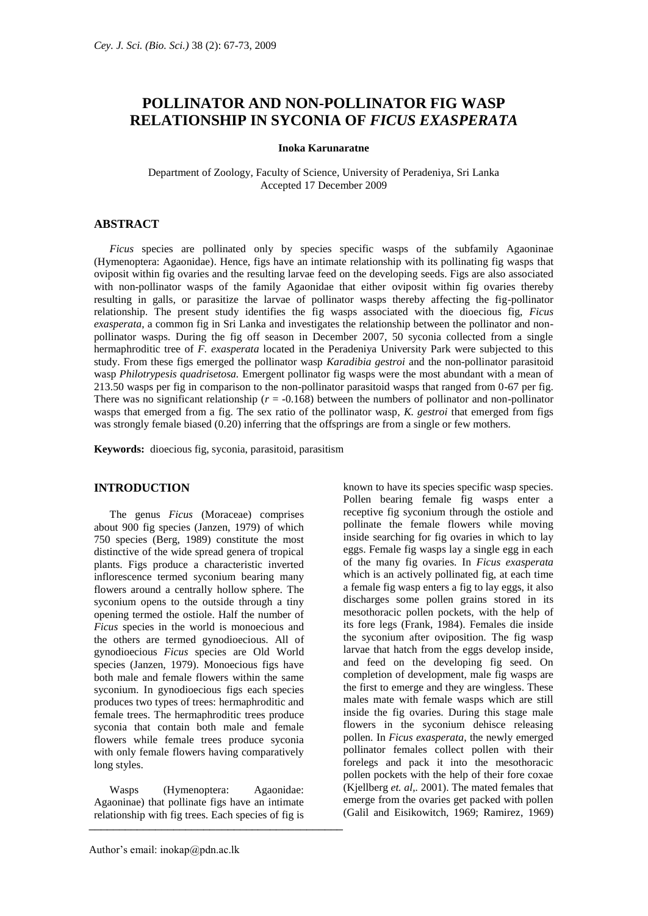# **POLLINATOR AND NON-POLLINATOR FIG WASP RELATIONSHIP IN SYCONIA OF** *FICUS EXASPERATA*

#### **Inoka Karunaratne**

Department of Zoology, Faculty of Science, University of Peradeniya, Sri Lanka Accepted 17 December 2009

# **ABSTRACT**

*Ficus* species are pollinated only by species specific wasps of the subfamily Agaoninae (Hymenoptera: Agaonidae). Hence, figs have an intimate relationship with its pollinating fig wasps that oviposit within fig ovaries and the resulting larvae feed on the developing seeds. Figs are also associated with non-pollinator wasps of the family Agaonidae that either oviposit within fig ovaries thereby resulting in galls, or parasitize the larvae of pollinator wasps thereby affecting the fig-pollinator relationship. The present study identifies the fig wasps associated with the dioecious fig, *Ficus exasperata*, a common fig in Sri Lanka and investigates the relationship between the pollinator and nonpollinator wasps. During the fig off season in December 2007, 50 syconia collected from a single hermaphroditic tree of *F. exasperata* located in the Peradeniya University Park were subjected to this study. From these figs emerged the pollinator wasp *Karadibia gestroi* and the non-pollinator parasitoid wasp *Philotrypesis quadrisetosa.* Emergent pollinator fig wasps were the most abundant with a mean of 213.50 wasps per fig in comparison to the non-pollinator parasitoid wasps that ranged from 0-67 per fig. There was no significant relationship ( $r = -0.168$ ) between the numbers of pollinator and non-pollinator wasps that emerged from a fig. The sex ratio of the pollinator wasp, *K. gestroi* that emerged from figs was strongly female biased (0.20) inferring that the offsprings are from a single or few mothers.

**Keywords:** dioecious fig, syconia, parasitoid, parasitism

#### **INTRODUCTION**

The genus *Ficus* (Moraceae) comprises about 900 fig species (Janzen, 1979) of which 750 species (Berg, 1989) constitute the most distinctive of the wide spread genera of tropical plants. Figs produce a characteristic inverted inflorescence termed syconium bearing many flowers around a centrally hollow sphere. The syconium opens to the outside through a tiny opening termed the ostiole. Half the number of *Ficus* species in the world is monoecious and the others are termed gynodioecious. All of gynodioecious *Ficus* species are Old World species (Janzen, 1979). Monoecious figs have both male and female flowers within the same syconium. In gynodioecious figs each species produces two types of trees: hermaphroditic and female trees. The hermaphroditic trees produce syconia that contain both male and female flowers while female trees produce syconia with only female flowers having comparatively long styles.

Wasps (Hymenoptera: Agaonidae: Agaoninae) that pollinate figs have an intimate relationship with fig trees. Each species of fig is  $\overline{1}$   $\overline{2}$   $\overline{1}$   $\overline{2}$   $\overline{1}$   $\overline{2}$   $\overline{2}$   $\overline{1}$   $\overline{2}$   $\overline{2}$   $\overline{2}$   $\overline{2}$   $\overline{2}$   $\overline{2}$   $\overline{2}$   $\overline{2}$   $\overline{2}$   $\overline{2}$   $\overline{2}$   $\overline{2}$   $\overline{2}$   $\overline{2}$   $\overline{2}$   $\overline{2}$   $\overline{$ 

Pollen bearing female fig wasps enter a receptive fig syconium through the ostiole and pollinate the female flowers while moving inside searching for fig ovaries in which to lay eggs. Female fig wasps lay a single egg in each of the many fig ovaries. In *Ficus exasperata* which is an actively pollinated fig, at each time a female fig wasp enters a fig to lay eggs, it also discharges some pollen grains stored in its mesothoracic pollen pockets, with the help of its fore legs (Frank, 1984). Females die inside the syconium after oviposition. The fig wasp larvae that hatch from the eggs develop inside, and feed on the developing fig seed. On completion of development, male fig wasps are the first to emerge and they are wingless. These males mate with female wasps which are still inside the fig ovaries. During this stage male flowers in the syconium dehisce releasing pollen. In *Ficus exasperata*, the newly emerged pollinator females collect pollen with their forelegs and pack it into the mesothoracic pollen pockets with the help of their fore coxae (Kjellberg *et. al*,*.* 2001). The mated females that emerge from the ovaries get packed with pollen (Galil and Eisikowitch, 1969; Ramirez, 1969)

known to have its species specific wasp species.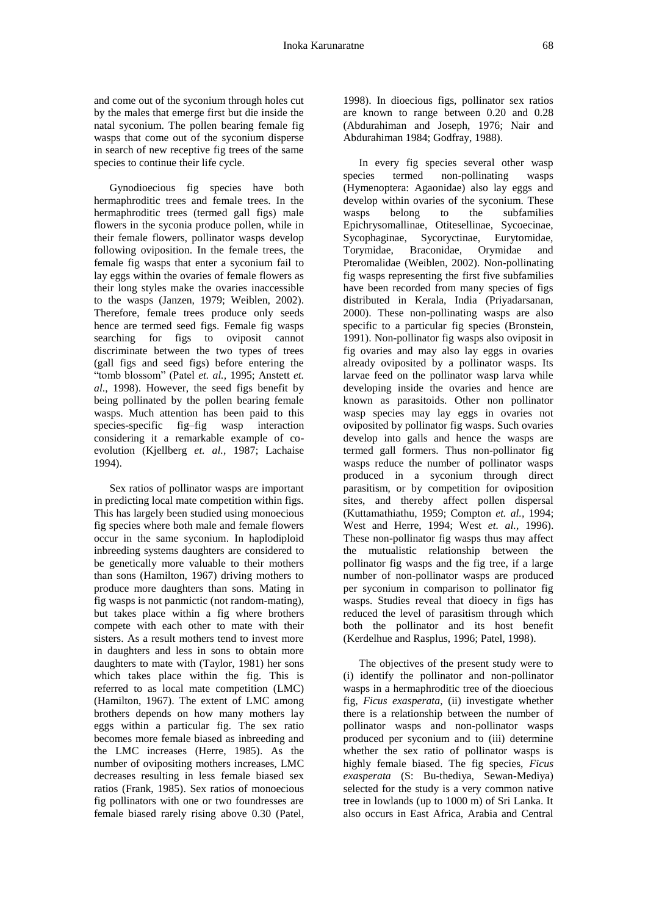and come out of the syconium through holes cut by the males that emerge first but die inside the natal syconium. The pollen bearing female fig wasps that come out of the syconium disperse in search of new receptive fig trees of the same species to continue their life cycle.

Gynodioecious fig species have both hermaphroditic trees and female trees. In the hermaphroditic trees (termed gall figs) male flowers in the syconia produce pollen, while in their female flowers, pollinator wasps develop following oviposition. In the female trees, the female fig wasps that enter a syconium fail to lay eggs within the ovaries of female flowers as their long styles make the ovaries inaccessible to the wasps (Janzen, 1979; Weiblen, 2002). Therefore, female trees produce only seeds hence are termed seed figs. Female fig wasps searching for figs to oviposit cannot discriminate between the two types of trees (gall figs and seed figs) before entering the "tomb blossom" (Patel *et. al.,* 1995; Anstett *et. al*., 1998). However, the seed figs benefit by being pollinated by the pollen bearing female wasps. Much attention has been paid to this species-specific fig–fig wasp interaction considering it a remarkable example of coevolution (Kjellberg *et. al.,* 1987; Lachaise 1994).

Sex ratios of pollinator wasps are important in predicting local mate competition within figs. This has largely been studied using monoecious fig species where both male and female flowers occur in the same syconium. In haplodiploid inbreeding systems daughters are considered to be genetically more valuable to their mothers than sons (Hamilton, 1967) driving mothers to produce more daughters than sons. Mating in fig wasps is not panmictic (not random-mating), but takes place within a fig where brothers compete with each other to mate with their sisters. As a result mothers tend to invest more in daughters and less in sons to obtain more daughters to mate with (Taylor, 1981) her sons which takes place within the fig. This is referred to as local mate competition (LMC) (Hamilton, 1967). The extent of LMC among brothers depends on how many mothers lay eggs within a particular fig. The sex ratio becomes more female biased as inbreeding and the LMC increases (Herre, 1985). As the number of ovipositing mothers increases, LMC decreases resulting in less female biased sex ratios (Frank, 1985). Sex ratios of monoecious fig pollinators with one or two foundresses are female biased rarely rising above 0.30 (Patel,

1998). In dioecious figs, pollinator sex ratios are known to range between 0.20 and 0.28 (Abdurahiman and Joseph, 1976; Nair and Abdurahiman 1984; Godfray, 1988).

In every fig species several other wasp species termed non-pollinating wasps (Hymenoptera: Agaonidae) also lay eggs and develop within ovaries of the syconium. These wasps belong to the subfamilies Epichrysomallinae, Otitesellinae, Sycoecinae, Sycophaginae, Sycoryctinae, Eurytomidae, Torymidae, Braconidae, Orymidae and Pteromalidae (Weiblen, 2002). Non-pollinating fig wasps representing the first five subfamilies have been recorded from many species of figs distributed in Kerala, India (Priyadarsanan, 2000). These non-pollinating wasps are also specific to a particular fig species (Bronstein, 1991). Non-pollinator fig wasps also oviposit in fig ovaries and may also lay eggs in ovaries already oviposited by a pollinator wasps. Its larvae feed on the pollinator wasp larva while developing inside the ovaries and hence are known as parasitoids. Other non pollinator wasp species may lay eggs in ovaries not oviposited by pollinator fig wasps. Such ovaries develop into galls and hence the wasps are termed gall formers. Thus non-pollinator fig wasps reduce the number of pollinator wasps produced in a syconium through direct parasitism, or by competition for oviposition sites, and thereby affect pollen dispersal (Kuttamathiathu, 1959; Compton *et. al.,* 1994; West and Herre, 1994; West *et. al.,* 1996). These non-pollinator fig wasps thus may affect the mutualistic relationship between the pollinator fig wasps and the fig tree, if a large number of non-pollinator wasps are produced per syconium in comparison to pollinator fig wasps. Studies reveal that dioecy in figs has reduced the level of parasitism through which both the pollinator and its host benefit (Kerdelhue and Rasplus, 1996; Patel, 1998).

The objectives of the present study were to (i) identify the pollinator and non-pollinator wasps in a hermaphroditic tree of the dioecious fig, *Ficus exasperata*, (ii) investigate whether there is a relationship between the number of pollinator wasps and non-pollinator wasps produced per syconium and to (iii) determine whether the sex ratio of pollinator wasps is highly female biased. The fig species, *Ficus exasperata* (S: Bu-thediya, Sewan-Mediya) selected for the study is a very common native tree in lowlands (up to 1000 m) of Sri Lanka. It also occurs in East Africa, Arabia and Central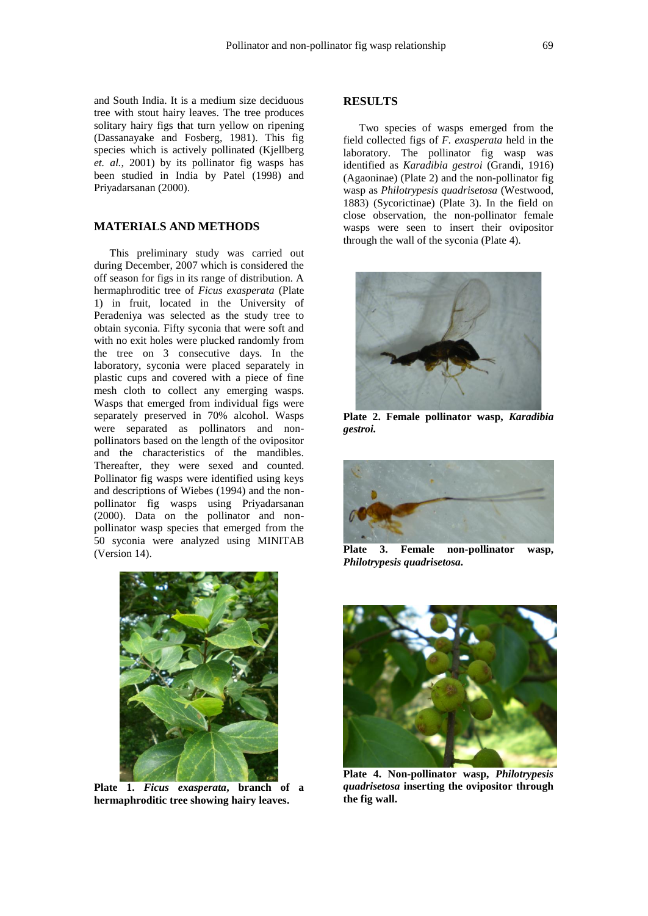and South India. It is a medium size deciduous tree with stout hairy leaves. The tree produces solitary hairy figs that turn yellow on ripening (Dassanayake and Fosberg, 1981). This fig species which is actively pollinated (Kjellberg *et. al.,* 2001) by its pollinator fig wasps has been studied in India by Patel (1998) and Priyadarsanan (2000).

#### **MATERIALS AND METHODS**

This preliminary study was carried out during December, 2007 which is considered the off season for figs in its range of distribution. A hermaphroditic tree of *Ficus exasperata* (Plate 1) in fruit, located in the University of Peradeniya was selected as the study tree to obtain syconia. Fifty syconia that were soft and with no exit holes were plucked randomly from the tree on 3 consecutive days. In the laboratory, syconia were placed separately in plastic cups and covered with a piece of fine mesh cloth to collect any emerging wasps. Wasps that emerged from individual figs were separately preserved in 70% alcohol. Wasps were separated as pollinators and nonpollinators based on the length of the ovipositor and the characteristics of the mandibles. Thereafter, they were sexed and counted. Pollinator fig wasps were identified using keys and descriptions of Wiebes (1994) and the nonpollinator fig wasps using Priyadarsanan (2000). Data on the pollinator and nonpollinator wasp species that emerged from the 50 syconia were analyzed using MINITAB (Version 14).



**Plate 1.** *Ficus exasperata***, branch of a hermaphroditic tree showing hairy leaves.**

## **RESULTS**

Two species of wasps emerged from the field collected figs of *F. exasperata* held in the laboratory. The pollinator fig wasp was identified as *Karadibia gestroi* (Grandi, 1916) (Agaoninae) (Plate 2) and the non-pollinator fig wasp as *Philotrypesis quadrisetosa* (Westwood, 1883) (Sycorictinae) (Plate 3). In the field on close observation, the non-pollinator female wasps were seen to insert their ovipositor through the wall of the syconia (Plate 4).



**Plate 2. Female pollinator wasp,** *Karadibia gestroi.*



**Plate 3. Female non-pollinator wasp,**  *Philotrypesis quadrisetosa.*



**Plate 4. Non-pollinator wasp,** *Philotrypesis quadrisetosa* **inserting the ovipositor through the fig wall.**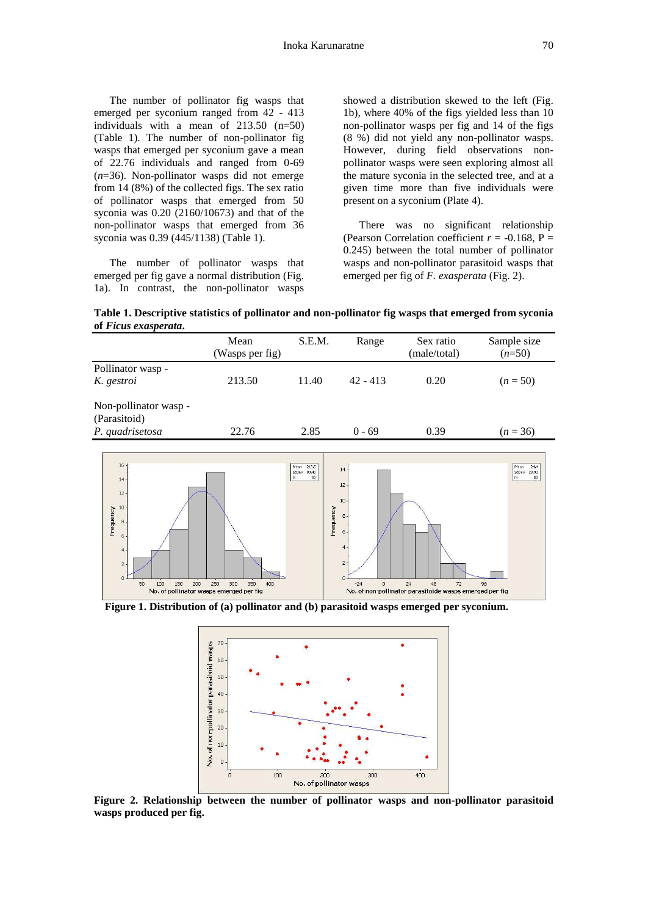The number of pollinator fig wasps that emerged per syconium ranged from 42 - 413 individuals with a mean of 213.50 (n=50) (Table 1). The number of non-pollinator fig wasps that emerged per syconium gave a mean of 22.76 individuals and ranged from 0-69 (*n*=36). Non-pollinator wasps did not emerge from 14 (8%) of the collected figs. The sex ratio of pollinator wasps that emerged from 50 syconia was 0.20 (2160/10673) and that of the non-pollinator wasps that emerged from 36 syconia was 0.39 (445/1138) (Table 1).

The number of pollinator wasps that emerged per fig gave a normal distribution (Fig. 1a). In contrast, the non-pollinator wasps

showed a distribution skewed to the left (Fig. 1b), where 40% of the figs yielded less than 10 non-pollinator wasps per fig and 14 of the figs (8 %) did not yield any non-pollinator wasps. However, during field observations nonpollinator wasps were seen exploring almost all the mature syconia in the selected tree, and at a given time more than five individuals were present on a syconium (Plate 4).

There was no significant relationship (Pearson Correlation coefficient  $r = -0.168$ , P = 0.245) between the total number of pollinator wasps and non-pollinator parasitoid wasps that emerged per fig of *F. exasperata* (Fig. 2).

**Table 1. Descriptive statistics of pollinator and non-pollinator fig wasps that emerged from syconia of** *Ficus exasperata***.**

|                                       | Mean<br>(Wasps per fig) | S.E.M. | Range      | Sex ratio<br>(male/total) | Sample size<br>$(n=50)$ |
|---------------------------------------|-------------------------|--------|------------|---------------------------|-------------------------|
| Pollinator wasp -                     |                         |        |            |                           |                         |
| K. gestroi                            | 213.50                  | 11.40  | $42 - 413$ | 0.20                      | $(n = 50)$              |
| Non-pollinator wasp -<br>(Parasitoid) |                         |        |            |                           |                         |
| P. quadrisetosa                       | 22.76                   | 2.85   | $0 - 69$   | 0.39                      | $(n=36)$                |



 **Figure 1. Distribution of (a) pollinator and (b) parasitoid wasps emerged per syconium.**



**Figure 2. Relationship between the number of pollinator wasps and non-pollinator parasitoid wasps produced per fig.**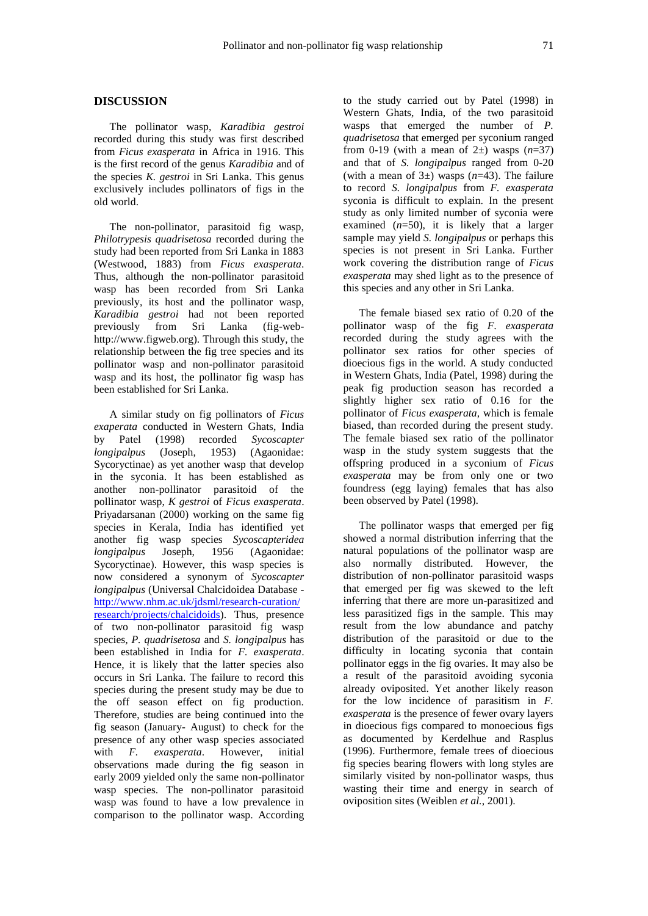#### **DISCUSSION**

The pollinator wasp, *Karadibia gestroi* recorded during this study was first described from *Ficus exasperata* in Africa in 1916. This is the first record of the genus *Karadibia* and of the species *K. gestroi* in Sri Lanka. This genus exclusively includes pollinators of figs in the old world.

The non-pollinator, parasitoid fig wasp, *Philotrypesis quadrisetosa* recorded during the study had been reported from Sri Lanka in 1883 (Westwood, 1883) from *Ficus exasperata*. Thus, although the non-pollinator parasitoid wasp has been recorded from Sri Lanka previously, its host and the pollinator wasp, *Karadibia gestroi* had not been reported previously from Sri Lanka (fig-webhttp://www.figweb.org). Through this study, the relationship between the fig tree species and its pollinator wasp and non-pollinator parasitoid wasp and its host, the pollinator fig wasp has been established for Sri Lanka.

A similar study on fig pollinators of *Ficus exaperata* conducted in Western Ghats, India by Patel (1998) recorded *Sycoscapter longipalpus* (Joseph, 1953) (Agaonidae: Sycoryctinae) as yet another wasp that develop in the syconia. It has been established as another non-pollinator parasitoid of the pollinator wasp, *K gestroi* of *Ficus exasperata*. Priyadarsanan (2000) working on the same fig species in Kerala, India has identified yet another fig wasp species *Sycoscapteridea longipalpus* Joseph, 1956 (Agaonidae: Sycoryctinae). However, this wasp species is now considered a synonym of *Sycoscapter longipalpus* (Universal Chalcidoidea Database [http://www.nhm.ac.uk/jdsml/research-curation/](http://www.nhm.ac.uk/jdsml/research-curation/%20research/projects/chalcidoids)  [research/projects/chalcidoids\)](http://www.nhm.ac.uk/jdsml/research-curation/%20research/projects/chalcidoids). Thus, presence of two non-pollinator parasitoid fig wasp species, *P. quadrisetosa* and *S. longipalpus* has been established in India for *F. exasperata*. Hence, it is likely that the latter species also occurs in Sri Lanka. The failure to record this species during the present study may be due to the off season effect on fig production. Therefore, studies are being continued into the fig season (January- August) to check for the presence of any other wasp species associated<br>with F. exasperata. However, initial with *F. exasperata*. However, initial observations made during the fig season in early 2009 yielded only the same non-pollinator wasp species. The non-pollinator parasitoid wasp was found to have a low prevalence in comparison to the pollinator wasp. According

to the study carried out by Patel (1998) in Western Ghats, India, of the two parasitoid wasps that emerged the number of *P. quadrisetosa* that emerged per syconium ranged from 0-19 (with a mean of  $2\pm$ ) wasps  $(n=37)$ and that of *S. longipalpus* ranged from 0-20 (with a mean of  $3\pm$ ) wasps ( $n=43$ ). The failure to record *S. longipalpus* from *F. exasperata* syconia is difficult to explain. In the present study as only limited number of syconia were examined (*n*=50), it is likely that a larger sample may yield *S. longipalpus* or perhaps this species is not present in Sri Lanka. Further work covering the distribution range of *Ficus exasperata* may shed light as to the presence of this species and any other in Sri Lanka.

The female biased sex ratio of 0.20 of the pollinator wasp of the fig *F. exasperata*  recorded during the study agrees with the pollinator sex ratios for other species of dioecious figs in the world. A study conducted in Western Ghats, India (Patel, 1998) during the peak fig production season has recorded a slightly higher sex ratio of 0.16 for the pollinator of *Ficus exasperata*, which is female biased, than recorded during the present study. The female biased sex ratio of the pollinator wasp in the study system suggests that the offspring produced in a syconium of *Ficus exasperata* may be from only one or two foundress (egg laying) females that has also been observed by Patel (1998).

The pollinator wasps that emerged per fig showed a normal distribution inferring that the natural populations of the pollinator wasp are also normally distributed. However, the distribution of non-pollinator parasitoid wasps that emerged per fig was skewed to the left inferring that there are more un-parasitized and less parasitized figs in the sample. This may result from the low abundance and patchy distribution of the parasitoid or due to the difficulty in locating syconia that contain pollinator eggs in the fig ovaries. It may also be a result of the parasitoid avoiding syconia already oviposited. Yet another likely reason for the low incidence of parasitism in *F. exasperata* is the presence of fewer ovary layers in dioecious figs compared to monoecious figs as documented by Kerdelhue and Rasplus (1996). Furthermore, female trees of dioecious fig species bearing flowers with long styles are similarly visited by non-pollinator wasps, thus wasting their time and energy in search of oviposition sites (Weiblen *et al.*, 2001).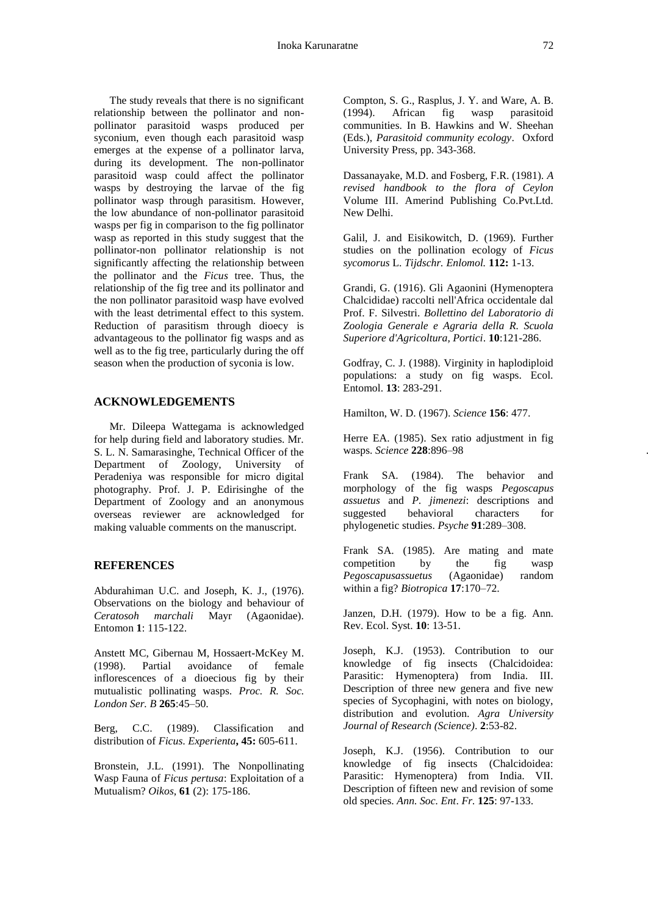The study reveals that there is no significant relationship between the pollinator and nonpollinator parasitoid wasps produced per syconium, even though each parasitoid wasp emerges at the expense of a pollinator larva, during its development. The non-pollinator parasitoid wasp could affect the pollinator wasps by destroying the larvae of the fig pollinator wasp through parasitism. However, the low abundance of non-pollinator parasitoid wasps per fig in comparison to the fig pollinator wasp as reported in this study suggest that the pollinator-non pollinator relationship is not significantly affecting the relationship between the pollinator and the *Ficus* tree. Thus, the relationship of the fig tree and its pollinator and the non pollinator parasitoid wasp have evolved with the least detrimental effect to this system. Reduction of parasitism through dioecy is advantageous to the pollinator fig wasps and as well as to the fig tree, particularly during the off season when the production of syconia is low.

# **ACKNOWLEDGEMENTS**

Mr. Dileepa Wattegama is acknowledged for help during field and laboratory studies. Mr. S. L. N. Samarasinghe, Technical Officer of the Department of Zoology, University of Peradeniya was responsible for micro digital photography. Prof. J. P. Edirisinghe of the Department of Zoology and an anonymous overseas reviewer are acknowledged for making valuable comments on the manuscript.

## **REFERENCES**

Abdurahiman U.C. and Joseph, K. J., (1976). Observations on the biology and behaviour of *Ceratosoh marchali* Mayr (Agaonidae). Entomon **1**: 115-122.

Anstett MC, Gibernau M, Hossaert-McKey M. (1998). Partial avoidance of female inflorescences of a dioecious fig by their mutualistic pollinating wasps. *Proc. R. Soc. London Ser. B* **265**:45–50.

Berg, C.C. (1989). Classification and distribution of *Ficus*. *Experienta***, 45:** 605-611.

Bronstein, J.L. (1991). The Nonpollinating Wasp Fauna of *Ficus pertusa*: Exploitation of a Mutualism? *Oikos*, **61** (2): 175-186.

Compton, S. G., Rasplus, J. Y. and Ware, A. B. (1994). African fig wasp parasitoid communities. In B. Hawkins and W. Sheehan (Eds.), *Parasitoid community ecology*. Oxford University Press, pp. 343-368.

Dassanayake, M.D. and Fosberg, F.R. (1981). *A revised handbook to the flora of Ceylon* Volume III. Amerind Publishing Co.Pvt.Ltd. New Delhi.

Galil, J. and Eisikowitch, D. (1969). Further studies on the pollination ecology of *Ficus sycomorus* L. *Tijdschr. Enlomol.* **112:** 1-13.

Grandi, G. (1916). Gli Agaonini (Hymenoptera Chalcididae) raccolti nell'Africa occidentale dal Prof. F. Silvestri. *Bollettino del Laboratorio di Zoologia Generale e Agraria della R. Scuola Superiore d'Agricoltura, Portici*. **10**:121-286.

Godfray, C. J. (1988). Virginity in haplodiploid populations: a study on fig wasps. Ecol. Entomol. **13**: 283-291.

Hamilton, W. D. (1967). *Science* **156**: 477.

Herre EA. (1985). Sex ratio adjustment in fig wasps. *Science* **228**:896–98 .

Frank SA. (1984). The behavior and morphology of the fig wasps *Pegoscapus assuetus* and *P. jimenezi*: descriptions and suggested behavioral characters for phylogenetic studies. *Psyche* **91**:289–308.

Frank SA. (1985). Are mating and mate competition by the fig wasp *Pegoscapusassuetus* (Agaonidae) random within a fig? *Biotropica* **17**:170–72.

Janzen, D.H. (1979). How to be a fig. Ann. Rev. Ecol. Syst. **10**: 13-51.

Joseph, K.J. (1953). Contribution to our knowledge of fig insects (Chalcidoidea: Parasitic: Hymenoptera) from India. III. Description of three new genera and five new species of Sycophagini, with notes on biology, distribution and evolution. *Agra University Journal of Research (Science)*. **2**:53-82.

Joseph, K.J. (1956). Contribution to our knowledge of fig insects (Chalcidoidea: Parasitic: Hymenoptera) from India. VII. Description of fifteen new and revision of some old species. *Ann. Soc. Ent*. *Fr.* **125**: 97-133.